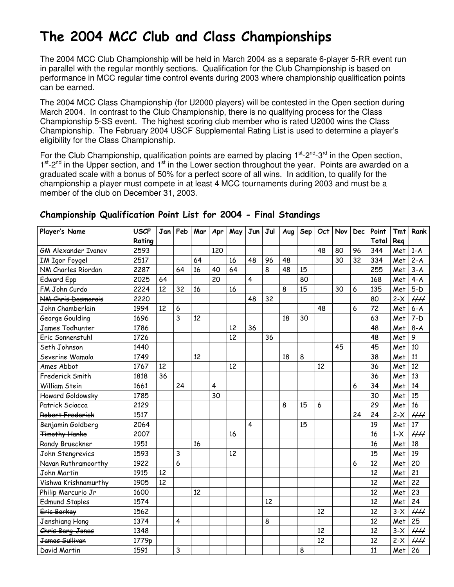# The 2004 MCC Club and Class Championships

The 2004 MCC Club Championship will be held in March 2004 as a separate 6-player 5-RR event run in parallel with the regular monthly sections. Qualification for the Club Championship is based on performance in MCC regular time control events during 2003 where championship qualification points can be earned.

The 2004 MCC Class Championship (for U2000 players) will be contested in the Open section during March 2004. In contrast to the Club Championship, there is no qualifying process for the Class Championship 5-SS event. The highest scoring club member who is rated U2000 wins the Class Championship. The February 2004 USCF Supplemental Rating List is used to determine a player's eligibility for the Class Championship.

For the Club Championship, qualification points are earned by placing  $1<sup>st</sup> - 2<sup>nd</sup> - 3<sup>rd</sup>$  in the Open section, 1<sup>st</sup>-2<sup>nd</sup> in the Upper section, and 1<sup>st</sup> in the Lower section throughout the year. Points are awarded on a graduated scale with a bonus of 50% for a perfect score of all wins. In addition, to qualify for the championship a player must compete in at least 4 MCC tournaments during 2003 and must be a member of the club on December 31, 2003.

| Player's Name              | <b>USCF</b> | Jan | Feb                     | Mar | Apr | May | Jun | Jul | Aug | Sep | Oct | Nov | <b>Dec</b> | Point | Tmt   | Rank            |
|----------------------------|-------------|-----|-------------------------|-----|-----|-----|-----|-----|-----|-----|-----|-----|------------|-------|-------|-----------------|
|                            | Rating      |     |                         |     |     |     |     |     |     |     |     |     |            | Total | Reg   |                 |
| <b>GM Alexander Ivanov</b> | 2593        |     |                         |     | 120 |     |     |     |     |     | 48  | 80  | 96         | 344   | Met   | $1-A$           |
| <b>IM Igor Foygel</b>      | 2517        |     |                         | 64  |     | 16  | 48  | 96  | 48  |     |     | 30  | 32         | 334   | Met   | $2 - A$         |
| NM Charles Riordan         | 2287        |     | 64                      | 16  | 40  | 64  |     | 8   | 48  | 15  |     |     |            | 255   | Met   | $3 - A$         |
| <b>Edward Epp</b>          | 2025        | 64  |                         |     | 20  |     | 4   |     |     | 80  |     |     |            | 168   | Met   | $4 - A$         |
| FM John Curdo              | 2224        | 12  | 32                      | 16  |     | 16  |     |     | 8   | 15  |     | 30  | 6          | 135   | Met   | $5-D$           |
| <b>NM Chris Desmarais</b>  | 2220        |     |                         |     |     |     | 48  | 32  |     |     |     |     |            | 80    | $2-X$ | $\mu\mu$        |
| John Chamberlain           | 1994        | 12  | 6                       |     |     |     |     |     |     |     | 48  |     | 6          | 72    | Met   | $6 - A$         |
| George Goulding            | 1696        |     | 3                       | 12  |     |     |     |     | 18  | 30  |     |     |            | 63    | Met   | $7-D$           |
| James Todhunter            | 1786        |     |                         |     |     | 12  | 36  |     |     |     |     |     |            | 48    | Met   | $8-A$           |
| Eric Sonnenstuhl           | 1726        |     |                         |     |     | 12  |     | 36  |     |     |     |     |            | 48    | Met   | 9               |
| Seth Johnson               | 1440        |     |                         |     |     |     |     |     |     |     |     | 45  |            | 45    | Met   | 10              |
| Severine Wamala            | 1749        |     |                         | 12  |     |     |     |     | 18  | 8   |     |     |            | 38    | Met   | 11              |
| Ames Abbot                 | 1767        | 12  |                         |     |     | 12  |     |     |     |     | 12  |     |            | 36    | Met   | 12              |
| Frederick Smith            | 1818        | 36  |                         |     |     |     |     |     |     |     |     |     |            | 36    | Met   | 13              |
| William Stein              | 1661        |     | 24                      |     | 4   |     |     |     |     |     |     |     | 6          | 34    | Met   | 14              |
| Howard Goldowsky           | 1785        |     |                         |     | 30  |     |     |     |     |     |     |     |            | 30    | Met   | 15              |
| Patrick Sciacca            | 2129        |     |                         |     |     |     |     |     | 8   | 15  | 6   |     |            | 29    | Met   | 16              |
| Robert Frederick           | 1517        |     |                         |     |     |     |     |     |     |     |     |     | 24         | 24    | $2-X$ | $\mu\mu$        |
| Benjamin Goldberg          | 2064        |     |                         |     |     |     | 4   |     |     | 15  |     |     |            | 19    | Met   | $\overline{17}$ |
| <b>Timothy Hanke</b>       | 2007        |     |                         |     |     | 16  |     |     |     |     |     |     |            | 16    | $1-X$ | $\overline{HH}$ |
| Randy Brueckner            | 1951        |     |                         | 16  |     |     |     |     |     |     |     |     |            | 16    | Met   | 18              |
| John Stengrevics           | 1593        |     | $\overline{3}$          |     |     | 12  |     |     |     |     |     |     |            | 15    | Met   | 19              |
| Navan Ruthramoorthy        | 1922        |     | 6                       |     |     |     |     |     |     |     |     |     | 6          | 12    | Met   | 20              |
| John Martin                | 1915        | 12  |                         |     |     |     |     |     |     |     |     |     |            | 12    | Met   | 21              |
| Vishwa Krishnamurthy       | 1905        | 12  |                         |     |     |     |     |     |     |     |     |     |            | 12    | Met   | 22              |
| Philip Mercurio Jr         | 1600        |     |                         | 12  |     |     |     |     |     |     |     |     |            | 12    | Met   | 23              |
| <b>Edmund Staples</b>      | 1574        |     |                         |     |     |     |     | 12  |     |     |     |     |            | 12    | Met   | 24              |
| Eric Berkey                | 1562        |     |                         |     |     |     |     |     |     |     | 12  |     |            | 12    | $3-X$ | $\mu\mu$        |
| Jenshiang Hong             | 1374        |     | $\overline{\mathbf{4}}$ |     |     |     |     | 8   |     |     |     |     |            | 12    | Met   | 25              |
| Chris Berg-Jones           | 1348        |     |                         |     |     |     |     |     |     |     | 12  |     |            | 12    | $3-X$ | $\overline{HH}$ |
| <del>James Sullivan</del>  | 1779p       |     |                         |     |     |     |     |     |     |     | 12  |     |            | 12    | $2-X$ | $\overline{HH}$ |
| David Martin               | 1591        |     | 3                       |     |     |     |     |     |     | 8   |     |     |            | 11    | Met   | 26              |

### Championship Qualification Point List for 2004 - Final Standings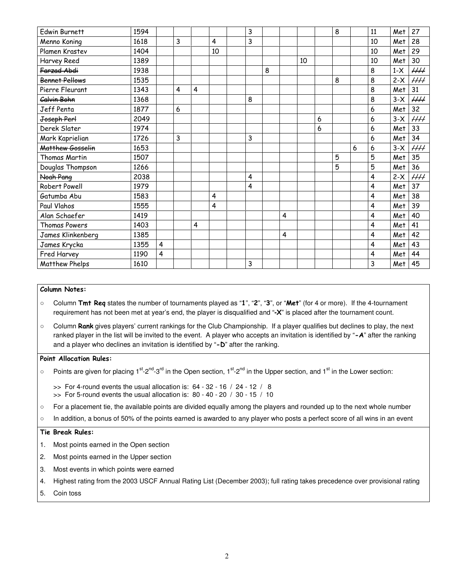| Edwin Burnett         | 1594 |                         |   |   |    | 3 |   |                |    |   | 8 |   | 11                      | Met   | 27                       |
|-----------------------|------|-------------------------|---|---|----|---|---|----------------|----|---|---|---|-------------------------|-------|--------------------------|
| Menno Koning          | 1618 |                         | 3 |   | 4  | 3 |   |                |    |   |   |   | 10                      | Met   | 28                       |
| Plamen Krastev        | 1404 |                         |   |   | 10 |   |   |                |    |   |   |   | 10                      | Met   | 29                       |
| Harvey Reed           | 1389 |                         |   |   |    |   |   |                | 10 |   |   |   | 10                      | Met   | 30                       |
| Farzad Abdi           | 1938 |                         |   |   |    |   | 8 |                |    |   |   |   | 8                       | $1-X$ | $\mathcal{H}\mathcal{H}$ |
| <b>Bennet Pellows</b> | 1535 |                         |   |   |    |   |   |                |    |   | 8 |   | 8                       | $2-X$ | $\mu\mu$                 |
| Pierre Fleurant       | 1343 |                         | 4 | 4 |    |   |   |                |    |   |   |   | 8                       | Met   | 31                       |
| Calvin Bohn           | 1368 |                         |   |   |    | 8 |   |                |    |   |   |   | 8                       | $3-X$ |                          |
| Jeff Penta            | 1877 |                         | 6 |   |    |   |   |                |    |   |   |   | 6                       | Met   | 32                       |
| Joseph Perl           | 2049 |                         |   |   |    |   |   |                |    | 6 |   |   | 6                       | $3-X$ | $\mu\mu$                 |
| Derek Slater          | 1974 |                         |   |   |    |   |   |                |    | 6 |   |   | 6                       | Met   | 33                       |
| Mark Kaprielian       | 1726 |                         | 3 |   |    | 3 |   |                |    |   |   |   | 6                       | Met   | 34                       |
| Matthew Gosselin      | 1653 |                         |   |   |    |   |   |                |    |   |   | 6 | 6                       | $3-X$ | $\mathcal{H}\mathcal{H}$ |
| Thomas Martin         | 1507 |                         |   |   |    |   |   |                |    |   | 5 |   | 5                       | Met   | 35                       |
| Douglas Thompson      | 1266 |                         |   |   |    |   |   |                |    |   | 5 |   | 5                       | Met   | 36                       |
| Noah Pang             | 2038 |                         |   |   |    | 4 |   |                |    |   |   |   | 4                       | $2-X$ | $\mu\mu$                 |
| Robert Powell         | 1979 |                         |   |   |    | 4 |   |                |    |   |   |   | $\overline{\mathbf{4}}$ | Met   | 37                       |
| Gatumba Abu           | 1583 |                         |   |   | 4  |   |   |                |    |   |   |   | 4                       | Met   | 38                       |
| Paul Vlahos           | 1555 |                         |   |   | 4  |   |   |                |    |   |   |   | $\overline{\mathbf{4}}$ | Met   | 39                       |
| Alan Schaefer         | 1419 |                         |   |   |    |   |   | $\overline{4}$ |    |   |   |   | $\overline{\mathbf{4}}$ | Met   | 40                       |
| Thomas Powers         | 1403 |                         |   | 4 |    |   |   |                |    |   |   |   | $\overline{\mathbf{4}}$ | Met   | 41                       |
| James Klinkenberg     | 1385 |                         |   |   |    |   |   | $\overline{4}$ |    |   |   |   | $\overline{\mathbf{4}}$ | Met   | 42                       |
| James Krycka          | 1355 | $\overline{\mathbf{4}}$ |   |   |    |   |   |                |    |   |   |   | $\overline{\mathbf{4}}$ | Met   | 43                       |
| Fred Harvey           | 1190 | 4                       |   |   |    |   |   |                |    |   |   |   | $\overline{\mathbf{4}}$ | Met   | 44                       |
| <b>Matthew Phelps</b> | 1610 |                         |   |   |    | 3 |   |                |    |   |   |   | 3                       | Met   | 45                       |

#### Column Notes:

- $\circ$  Column Tmt Req states the number of tournaments played as "1", "2", "3", or "Met" (for 4 or more). If the 4-tournament requirement has not been met at year's end, the player is disqualified and "**-**X" is placed after the tournament count.
- Column Rank gives players' current rankings for the Club Championship. If a player qualifies but declines to play, the next ranked player in the list will be invited to the event. A player who accepts an invitation is identified by "-A" after the ranking and a player who declines an invitation is identified by "-D" after the ranking.

#### Point Allocation Rules:

- Points are given for placing 1<sup>st</sup>-2<sup>nd</sup>-3<sup>rd</sup> in the Open section, 1<sup>st</sup>-2<sup>nd</sup> in the Upper section, and 1<sup>st</sup> in the Lower section:
	- $\gg$  For 4-round events the usual allocation is: 64 32 16 / 24 12 / 8  $\gg$  For 5-round events the usual allocation is: 80 - 40 - 20 / 30 - 15 / 10
- For a placement tie, the available points are divided equally among the players and rounded up to the next whole number
- In addition, a bonus of 50% of the points earned is awarded to any player who posts a perfect score of all wins in an event

#### Tie Break Rules:

- 1. Most points earned in the Open section
- 2. Most points earned in the Upper section
- 3. Most events in which points were earned
- 4. Highest rating from the 2003 USCF Annual Rating List (December 2003); full rating takes precedence over provisional rating
- 5. Coin toss